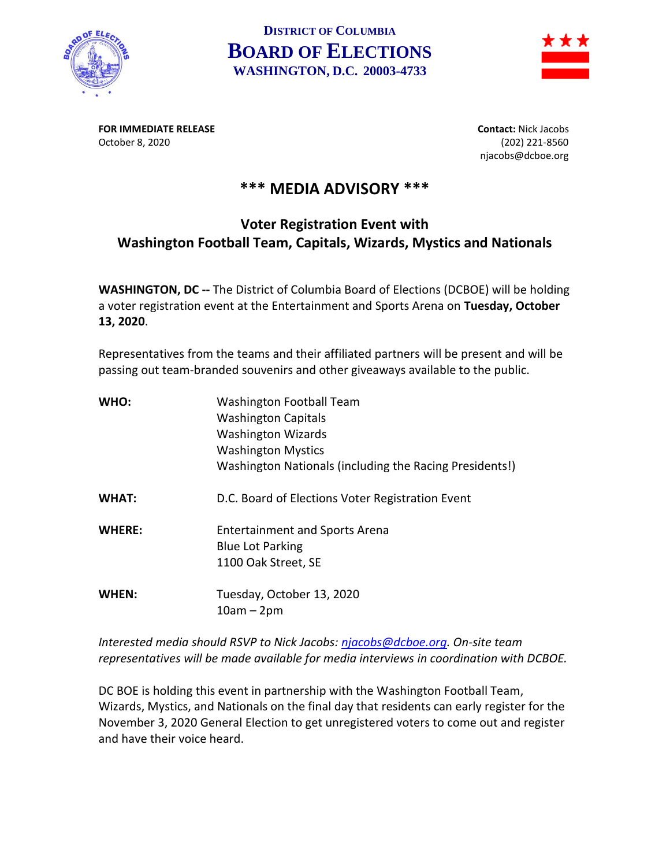

## **DISTRICT OF COLUMBIA BOARD OF ELECTIONS WASHINGTON, D.C. 20003-4733**



**FOR IMMEDIATE RELEASE Contact:** Nick Jacobs October 8, 2020 (202) 221-8560

njacobs@dcboe.org

## **\*\*\* MEDIA ADVISORY \*\*\***

## **Voter Registration Event with Washington Football Team, Capitals, Wizards, Mystics and Nationals**

**WASHINGTON, DC --** The District of Columbia Board of Elections (DCBOE) will be holding a voter registration event at the Entertainment and Sports Arena on **Tuesday, October 13, 2020**.

Representatives from the teams and their affiliated partners will be present and will be passing out team-branded souvenirs and other giveaways available to the public.

| WHO:          | <b>Washington Football Team</b>                         |
|---------------|---------------------------------------------------------|
|               | <b>Washington Capitals</b>                              |
|               | <b>Washington Wizards</b>                               |
|               | <b>Washington Mystics</b>                               |
|               | Washington Nationals (including the Racing Presidents!) |
| <b>WHAT:</b>  | D.C. Board of Elections Voter Registration Event        |
| <b>WHERE:</b> | <b>Entertainment and Sports Arena</b>                   |
|               | <b>Blue Lot Parking</b>                                 |
|               | 1100 Oak Street, SE                                     |
| WHEN:         | Tuesday, October 13, 2020                               |
|               | $10am - 2pm$                                            |

*Interested media should RSVP to Nick Jacobs: [njacobs@dcboe.org.](mailto:njacobs@dcboe.org) On-site team representatives will be made available for media interviews in coordination with DCBOE.* 

DC BOE is holding this event in partnership with the Washington Football Team, Wizards, Mystics, and Nationals on the final day that residents can early register for the November 3, 2020 General Election to get unregistered voters to come out and register and have their voice heard.